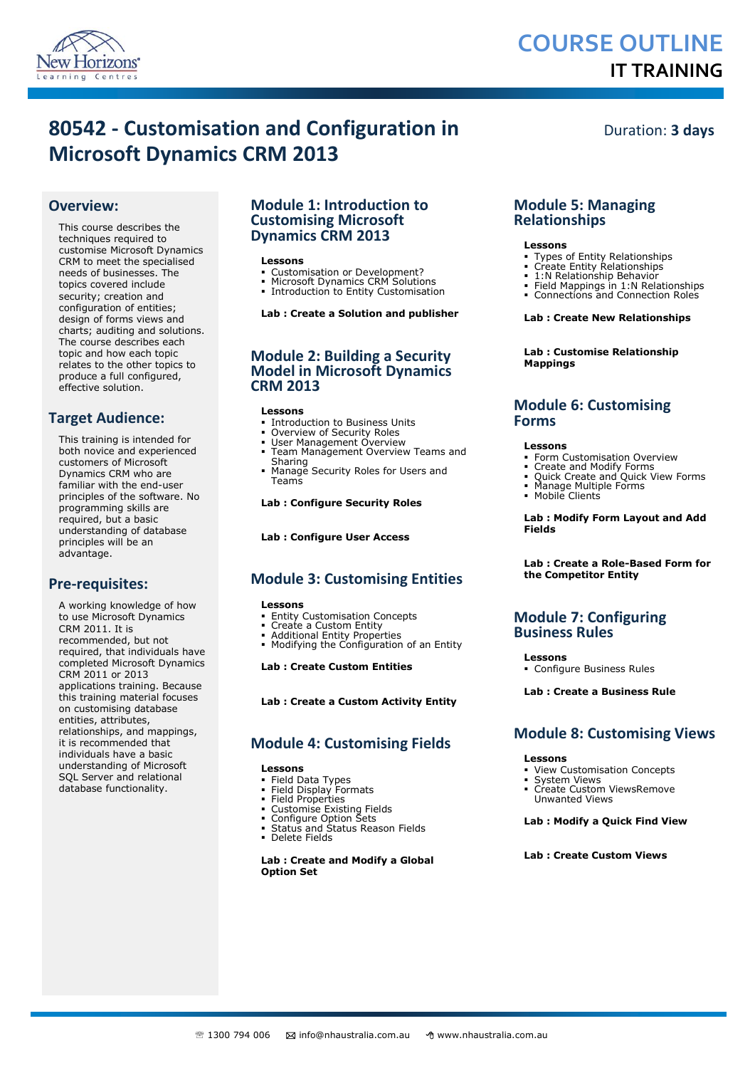

# **COURSE OUTLINE IT TRAINING**

# **80542 - Customisation and Configuration in Microsoft Dynamics CRM 2013**

Duration: **3 days**

# **Overview:**

This course describes the techniques required to customise Microsoft Dynamics CRM to meet the specialised needs of businesses. The topics covered include security; creation and configuration of entities; design of forms views and charts; auditing and solutions. The course describes each topic and how each topic relates to the other topics to produce a full configured, effective solution.

# **Target Audience:**

This training is intended for both novice and experienced customers of Microsoft Dynamics CRM who are familiar with the end-user principles of the software. No programming skills are required, but a basic understanding of database principles will be an advantage.

# **Pre-requisites:**

A working knowledge of how to use Microsoft Dynamics CRM 2011. It is recommended, but not required, that individuals have completed Microsoft Dynamics CRM 2011 or 2013 applications training. Because this training material focuses on customising database entities, attributes, relationships, and mappings, it is recommended that individuals have a basic understanding of Microsoft SQL Server and relational database functionality.

# **Module 1: Introduction to Customising Microsoft Dynamics CRM 2013**

## **Lessons**

- Customisation or Development? Microsoft Dynamics CRM Solutions
- Introduction to Entity Customisation

# **Lab : Create a Solution and publisher**

# **Module 2: Building a Security Model in Microsoft Dynamics CRM 2013**

#### **Lessons**

- Introduction to Business Units Overview of Security Roles
- User Management Overview
- Team Management Overview Teams and **Sharing**
- Manage Security Roles for Users and Teams

#### **Lab : Configure Security Roles**

## **Lab : Configure User Access**

# **Module 3: Customising Entities**

# **Lessons**

- Entity Customisation Concepts
- Create a Custom Entity
- 
- Additional Entity Properties Modifying the Configuration of an Entity

#### **Lab : Create Custom Entities**

## **Lab : Create a Custom Activity Entity**

# **Module 4: Customising Fields**

# **Lessons**

- Field Data Types Field Display Formats
- 
- Field Properties Customise Existing Fields Configure Option Sets
- 
- Status and Status Reason Fields
- Delete Fields

#### **Lab : Create and Modify a Global Option Set**

# **Module 5: Managing Relationships**

#### **Lessons**

- Types of Entity Relationships Create Entity Relationships
- 
- 1:N Relationship Behavior Field Mappings in 1:N Relationships
- Connections and Connection Roles

#### **Lab : Create New Relationships**

**Lab : Customise Relationship Mappings**

# **Module 6: Customising Forms**

#### **Lessons**

- Form Customisation Overview
- 
- Create and Modify Forms Quick Create and Quick View Forms Manage Multiple Forms Mobile Clients
- 

#### **Lab : Modify Form Layout and Add Fields**

#### **Lab : Create a Role-Based Form for the Competitor Entity**

# **Module 7: Configuring Business Rules**

#### **Lessons**

Configure Business Rules

# **Lab : Create a Business Rule**

# **Module 8: Customising Views**

#### **Lessons**

- View Customisation Concepts
- System Views Create Custom ViewsRemove
	- Unwanted Views

#### **Lab : Modify a Quick Find View**

# **Lab : Create Custom Views**